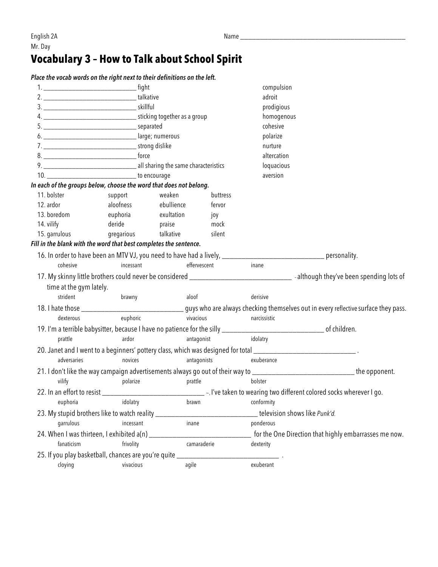## **Vocabulary 3 – How to Talk about School Spirit**

*Place the vocab words on the right next to their definitions on the left.*

|                                                                                  | . fight<br>1. <u>__________________________________</u> |            |                  | compulsion                                                                                                                    |                                                                                                                                        |
|----------------------------------------------------------------------------------|---------------------------------------------------------|------------|------------------|-------------------------------------------------------------------------------------------------------------------------------|----------------------------------------------------------------------------------------------------------------------------------------|
|                                                                                  |                                                         |            |                  | adroit                                                                                                                        |                                                                                                                                        |
|                                                                                  |                                                         |            |                  | prodigious                                                                                                                    |                                                                                                                                        |
|                                                                                  |                                                         |            |                  |                                                                                                                               |                                                                                                                                        |
|                                                                                  |                                                         |            | cohesive         |                                                                                                                               |                                                                                                                                        |
|                                                                                  |                                                         |            |                  | polarize                                                                                                                      |                                                                                                                                        |
|                                                                                  |                                                         |            |                  | nurture                                                                                                                       |                                                                                                                                        |
|                                                                                  |                                                         |            |                  | altercation                                                                                                                   |                                                                                                                                        |
|                                                                                  |                                                         |            |                  | loquacious                                                                                                                    |                                                                                                                                        |
|                                                                                  |                                                         |            |                  | aversion                                                                                                                      |                                                                                                                                        |
| In each of the groups below, choose the word that does not belong.               |                                                         |            |                  |                                                                                                                               |                                                                                                                                        |
| 11. bolster                                                                      | support                                                 | weaken     | buttress         |                                                                                                                               |                                                                                                                                        |
| 12. ardor                                                                        | aloofness                                               | ebullience | fervor           |                                                                                                                               |                                                                                                                                        |
| 13. boredom euphoria exultation                                                  |                                                         |            | јоу              |                                                                                                                               |                                                                                                                                        |
| 14. vilify                                                                       | deride praise                                           |            | mock             |                                                                                                                               |                                                                                                                                        |
| 15. garrulous en gregarious talkative                                            |                                                         |            | silent           |                                                                                                                               |                                                                                                                                        |
| Fill in the blank with the word that best completes the sentence.                |                                                         |            |                  |                                                                                                                               |                                                                                                                                        |
|                                                                                  |                                                         |            |                  | 16. In order to have been an MTV VJ, you need to have had a lively, ___________________________________ personality.          |                                                                                                                                        |
| cohesive                                                                         | incessant                                               |            | effervescent     | inane                                                                                                                         |                                                                                                                                        |
|                                                                                  |                                                         |            |                  |                                                                                                                               |                                                                                                                                        |
| time at the gym lately.                                                          |                                                         |            |                  |                                                                                                                               |                                                                                                                                        |
| strident                                                                         | brawny                                                  |            | aloof            | derisive                                                                                                                      |                                                                                                                                        |
|                                                                                  |                                                         |            |                  |                                                                                                                               | 18. I hate those ___________________________________guys who are always checking themselves out in every reflective surface they pass. |
| dexterous                                                                        | euphoric                                                |            | vivacious        | narcissistic                                                                                                                  |                                                                                                                                        |
|                                                                                  |                                                         |            |                  |                                                                                                                               |                                                                                                                                        |
| prattle                                                                          | ardor                                                   |            | antagonist       | idolatry                                                                                                                      |                                                                                                                                        |
|                                                                                  |                                                         |            |                  | 20. Janet and I went to a beginners' pottery class, which was designed for total __________________________________.          |                                                                                                                                        |
| adversaries                                                                      | novices                                                 |            | antagonists      | exuberance                                                                                                                    |                                                                                                                                        |
|                                                                                  |                                                         |            |                  | 21. I don't like the way campaign advertisements always go out of their way to _________________________________the opponent. |                                                                                                                                        |
| vilify                                                                           | polarize                                                |            | prattle          | bolster                                                                                                                       |                                                                                                                                        |
|                                                                                  |                                                         |            |                  |                                                                                                                               |                                                                                                                                        |
|                                                                                  | euphoria idolatry                                       |            | brawn conformity |                                                                                                                               |                                                                                                                                        |
|                                                                                  |                                                         |            |                  |                                                                                                                               |                                                                                                                                        |
| 23. My stupid brothers like to watch reality ___________________________________ |                                                         |            |                  | television shows like Punk'd.                                                                                                 |                                                                                                                                        |
| garrulous<br>incessant<br>inane                                                  |                                                         |            |                  | ponderous                                                                                                                     |                                                                                                                                        |
|                                                                                  |                                                         |            |                  |                                                                                                                               | for the One Direction that highly embarrasses me now.                                                                                  |
| fanaticism                                                                       | frivolity                                               |            | camaraderie      | dexterity                                                                                                                     |                                                                                                                                        |
| 25. If you play basketball, chances are you're quite _________                   |                                                         |            |                  |                                                                                                                               |                                                                                                                                        |
| cloying                                                                          | vivacious                                               | agile      |                  | exuberant                                                                                                                     |                                                                                                                                        |